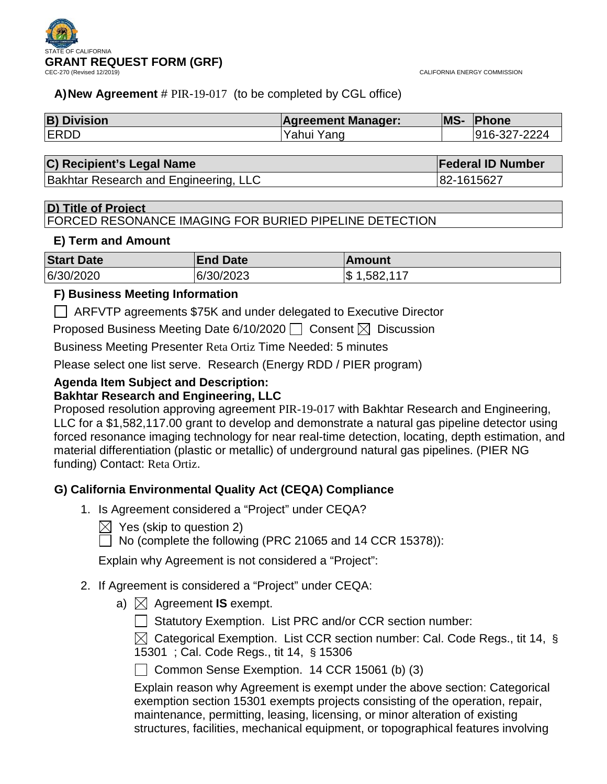

#### **A)New Agreement** # PIR-19-017 (to be completed by CGL office)

| <b>B) Division</b> | <b>Agreement Manager:</b> | <b>MS-</b> | <b>Phone</b> |
|--------------------|---------------------------|------------|--------------|
| <b>ERDD</b>        | Yahui Yang                |            | 916-327-2224 |

#### **C) Recipient's Legal Name Federal ID Number**

Bakhtar Research and Engineering, LLC 82-1615627

#### **D) Title of Project**

FORCED RESONANCE IMAGING FOR BURIED PIPELINE DETECTION

#### **E) Term and Amount**

| <b>Start Date</b> | <b>End Date</b> | <b>IAmount</b>               |
|-------------------|-----------------|------------------------------|
| 6/30/2020         | 6/30/2023       | $\mathcal{S}$<br>1,582,117 ر |

#### **F) Business Meeting Information**

ARFVTP agreements \$75K and under delegated to Executive Director

Proposed Business Meeting Date 6/10/2020  $\Box$  Consent  $\boxtimes$  Discussion

Business Meeting Presenter Reta Ortiz Time Needed: 5 minutes

Please select one list serve. Research (Energy RDD / PIER program)

# **Agenda Item Subject and Description:**

#### **Bakhtar Research and Engineering, LLC**

Proposed resolution approving agreement PIR-19-017 with Bakhtar Research and Engineering, LLC for a \$1,582,117.00 grant to develop and demonstrate a natural gas pipeline detector using forced resonance imaging technology for near real-time detection, locating, depth estimation, and material differentiation (plastic or metallic) of underground natural gas pipelines. (PIER NG funding) Contact: Reta Ortiz.

#### **G) California Environmental Quality Act (CEQA) Compliance**

- 1. Is Agreement considered a "Project" under CEQA?
	- $\boxtimes$  Yes (skip to question 2)

 $\Box$  No (complete the following (PRC 21065 and 14 CCR 15378)):

Explain why Agreement is not considered a "Project":

- 2. If Agreement is considered a "Project" under CEQA:
	- a)  $\boxtimes$  Agreement **IS** exempt.
		- $\Box$  Statutory Exemption. List PRC and/or CCR section number:

 $\boxtimes$  Categorical Exemption. List CCR section number: Cal. Code Regs., tit 14, § 15301 ; Cal. Code Regs., tit 14, § 15306

Common Sense Exemption.  $14$  CCR 15061 (b) (3)

Explain reason why Agreement is exempt under the above section: Categorical exemption section 15301 exempts projects consisting of the operation, repair, maintenance, permitting, leasing, licensing, or minor alteration of existing structures, facilities, mechanical equipment, or topographical features involving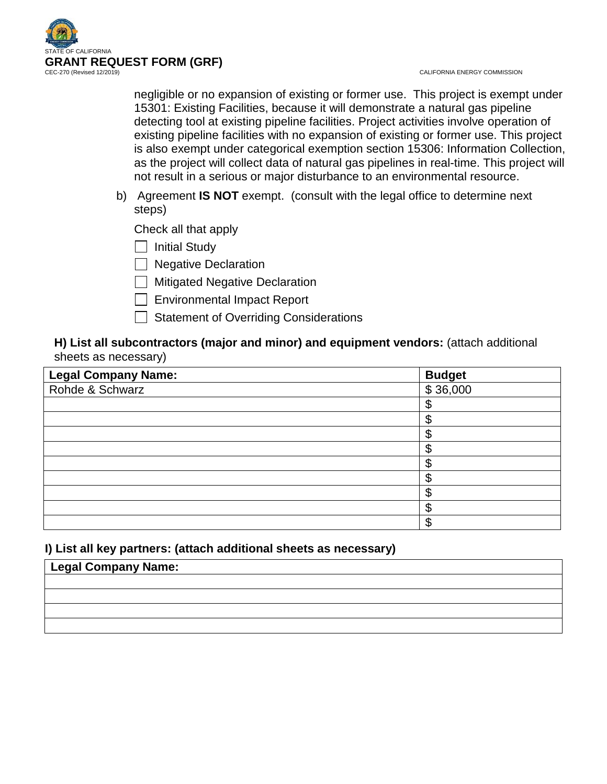

negligible or no expansion of existing or former use. This project is exempt under 15301: Existing Facilities, because it will demonstrate a natural gas pipeline detecting tool at existing pipeline facilities. Project activities involve operation of existing pipeline facilities with no expansion of existing or former use. This project is also exempt under categorical exemption section 15306: Information Collection, as the project will collect data of natural gas pipelines in real-time. This project will not result in a serious or major disturbance to an environmental resource.

b) Agreement **IS NOT** exempt. (consult with the legal office to determine next steps)

Check all that apply

Initial Study

Regative Declaration

**Mitigated Negative Declaration** 

- Environmental Impact Report
- $\Box$  Statement of Overriding Considerations

#### **H) List all subcontractors (major and minor) and equipment vendors:** (attach additional sheets as necessary)

| Legal Company Name:<br>Rohde & Schwarz | <b>Budget</b> |
|----------------------------------------|---------------|
|                                        | \$36,000      |
|                                        | ጥ             |
|                                        |               |
|                                        |               |
|                                        | æ             |
|                                        | ጦ             |
|                                        |               |
|                                        | ጦ             |
|                                        |               |
|                                        | ጥ             |

#### **I) List all key partners: (attach additional sheets as necessary)**

# **Legal Company Name:**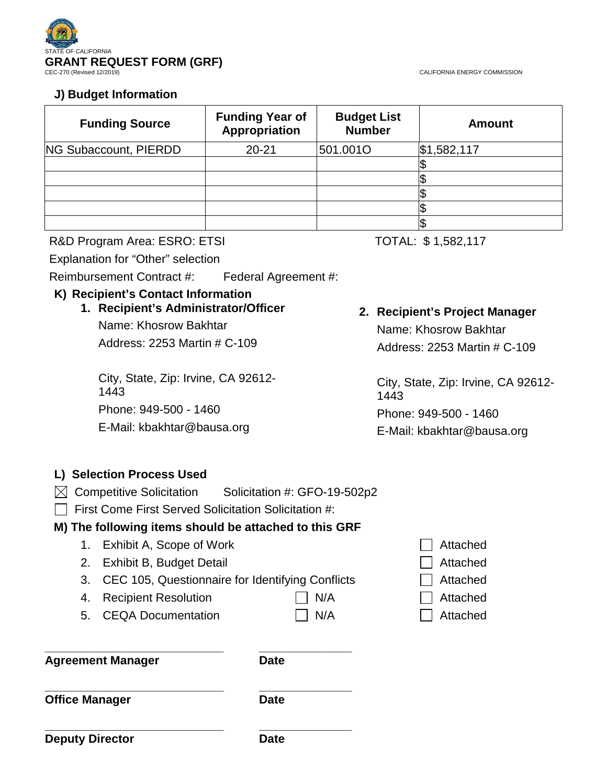

#### **J) Budget Information**

| <b>Funding Source</b>        | <b>Funding Year of</b><br>Appropriation | <b>Budget List</b><br><b>Number</b> | <b>Amount</b> |
|------------------------------|-----------------------------------------|-------------------------------------|---------------|
| <b>NG Subaccount, PIERDD</b> | $20 - 21$                               | 501.0010                            | \$1,582,117   |
|                              |                                         |                                     |               |
|                              |                                         |                                     |               |
|                              |                                         |                                     |               |
|                              |                                         |                                     |               |
|                              |                                         |                                     |               |

R&D Program Area: ESRO: ETSI TOTAL: \$1,582,117

Explanation for "Other" selection

Reimbursement Contract #: Federal Agreement #:

#### **K) Recipient's Contact Information**

#### **1. Recipient's Administrator/Officer**

Name: Khosrow Bakhtar Address: 2253 Martin # C-109

City, State, Zip: Irvine, CA 92612- 1443 Phone: 949-500 - 1460 E-Mail: kbakhtar@bausa.org

#### **2. Recipient's Project Manager**

Name: Khosrow Bakhtar Address: 2253 Martin # C-109

City, State, Zip: Irvine, CA 92612- 1443

Phone: 949-500 - 1460

E-Mail: kbakhtar@bausa.org

#### **L) Selection Process Used**

 $\boxtimes$  Competitive Solicitation Solicitation #: GFO-19-502p2

 $\Box$  First Come First Served Solicitation Solicitation #:

#### **M) The following items should be attached to this GRF**

- 1. Exhibit A, Scope of Work Attached
- 2. Exhibit B, Budget Detail Attached
- 3. CEC 105, Questionnaire for Identifying Conflicts **CEC** Attached
- 4. Recipient Resolution **Nightle Studies I** N/A Attached
- 5. CEQA Documentation  $\Box$  N/A  $\Box$  Attached

**Agreement Manager Date**

**\_\_\_\_\_\_\_\_\_\_\_\_\_\_\_\_\_\_\_\_\_\_\_\_\_\_\_ \_\_\_\_\_\_\_\_\_\_\_\_\_\_**

**\_\_\_\_\_\_\_\_\_\_\_\_\_\_\_\_\_\_\_\_\_\_\_\_\_\_\_ \_\_\_\_\_\_\_\_\_\_\_\_\_\_ Office Manager Date** 

**\_\_\_\_\_\_\_\_\_\_\_\_\_\_\_\_\_\_\_\_\_\_\_\_\_\_\_ \_\_\_\_\_\_\_\_\_\_\_\_\_\_ Deputy Director Date** 

- 
- 
- 
- 
-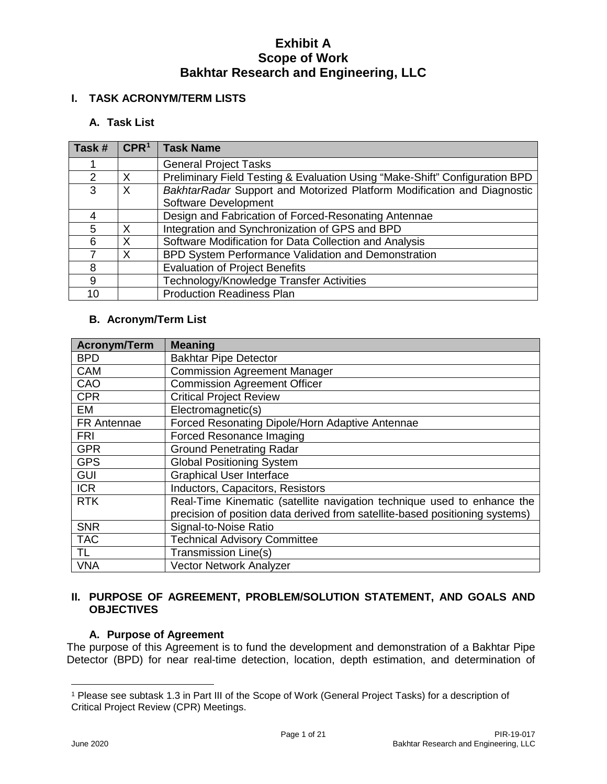#### **I. TASK ACRONYM/TERM LISTS**

#### **A. Task List**

| Task #        | CPR <sup>1</sup> | <b>Task Name</b>                                                            |
|---------------|------------------|-----------------------------------------------------------------------------|
|               |                  | <b>General Project Tasks</b>                                                |
| $\mathcal{P}$ | X                | Preliminary Field Testing & Evaluation Using "Make-Shift" Configuration BPD |
| 3             | X                | BakhtarRadar Support and Motorized Platform Modification and Diagnostic     |
|               |                  | Software Development                                                        |
|               |                  | Design and Fabrication of Forced-Resonating Antennae                        |
| 5             | X                | Integration and Synchronization of GPS and BPD                              |
| 6             | X                | Software Modification for Data Collection and Analysis                      |
|               | X                | BPD System Performance Validation and Demonstration                         |
| 8             |                  | <b>Evaluation of Project Benefits</b>                                       |
| 9             |                  | Technology/Knowledge Transfer Activities                                    |
| 10            |                  | <b>Production Readiness Plan</b>                                            |

#### **B. Acronym/Term List**

| <b>Acronym/Term</b> | <b>Meaning</b>                                                               |
|---------------------|------------------------------------------------------------------------------|
| <b>BPD</b>          | <b>Bakhtar Pipe Detector</b>                                                 |
| <b>CAM</b>          | <b>Commission Agreement Manager</b>                                          |
| CAO                 | <b>Commission Agreement Officer</b>                                          |
| <b>CPR</b>          | <b>Critical Project Review</b>                                               |
| EM                  | Electromagnetic(s)                                                           |
| FR Antennae         | Forced Resonating Dipole/Horn Adaptive Antennae                              |
| <b>FRI</b>          | Forced Resonance Imaging                                                     |
| <b>GPR</b>          | <b>Ground Penetrating Radar</b>                                              |
| <b>GPS</b>          | <b>Global Positioning System</b>                                             |
| <b>GUI</b>          | <b>Graphical User Interface</b>                                              |
| <b>ICR</b>          | Inductors, Capacitors, Resistors                                             |
| <b>RTK</b>          | Real-Time Kinematic (satellite navigation technique used to enhance the      |
|                     | precision of position data derived from satellite-based positioning systems) |
| <b>SNR</b>          | Signal-to-Noise Ratio                                                        |
| <b>TAC</b>          | <b>Technical Advisory Committee</b>                                          |
| TL.                 | Transmission Line(s)                                                         |
| <b>VNA</b>          | <b>Vector Network Analyzer</b>                                               |

#### **II. PURPOSE OF AGREEMENT, PROBLEM/SOLUTION STATEMENT, AND GOALS AND OBJECTIVES**

#### **A. Purpose of Agreement**

The purpose of this Agreement is to fund the development and demonstration of a Bakhtar Pipe Detector (BPD) for near real-time detection, location, depth estimation, and determination of

 $\overline{a}$ 

<span id="page-3-0"></span><sup>1</sup> Please see subtask 1.3 in Part III of the Scope of Work (General Project Tasks) for a description of Critical Project Review (CPR) Meetings.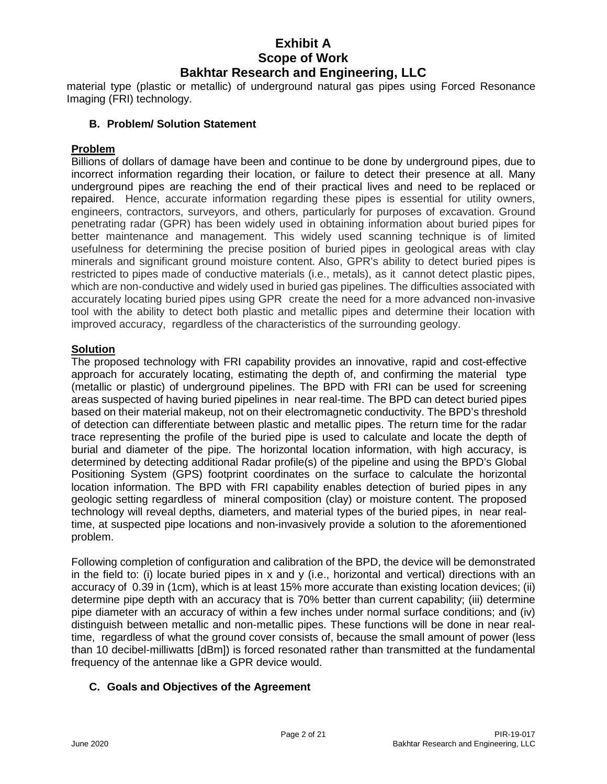material type (plastic or metallic) of underground natural gas pipes using Forced Resonance Imaging (FRI) technology.

#### **B. Problem/ Solution Statement**

#### **Problem**

Billions of dollars of damage have been and continue to be done by underground pipes, due to incorrect information regarding their location, or failure to detect their presence at all. Many underground pipes are reaching the end of their practical lives and need to be replaced or repaired. Hence, accurate information regarding these pipes is essential for utility owners, engineers, contractors, surveyors, and others, particularly for purposes of excavation. Ground penetrating radar (GPR) has been widely used in obtaining information about buried pipes for better maintenance and management. This widely used scanning technique is of limited usefulness for determining the precise position of buried pipes in geological areas with clay minerals and significant ground moisture content. Also, GPR's ability to detect buried pipes is restricted to pipes made of conductive materials (i.e., metals), as it cannot detect plastic pipes, which are non-conductive and widely used in buried gas pipelines. The difficulties associated with accurately locating buried pipes using GPR create the need for a more advanced non-invasive tool with the ability to detect both plastic and metallic pipes and determine their location with improved accuracy, regardless of the characteristics of the surrounding geology.

#### **Solution**

The proposed technology with FRI capability provides an innovative, rapid and cost-effective approach for accurately locating, estimating the depth of, and confirming the material type (metallic or plastic) of underground pipelines. The BPD with FRI can be used for screening areas suspected of having buried pipelines in near real-time. The BPD can detect buried pipes based on their material makeup, not on their electromagnetic conductivity. The BPD's threshold of detection can differentiate between plastic and metallic pipes. The return time for the radar trace representing the profile of the buried pipe is used to calculate and locate the depth of burial and diameter of the pipe. The horizontal location information, with high accuracy, is determined by detecting additional Radar profile(s) of the pipeline and using the BPD's Global Positioning System (GPS) footprint coordinates on the surface to calculate the horizontal location information. The BPD with FRI capability enables detection of buried pipes in any geologic setting regardless of mineral composition (clay) or moisture content. The proposed technology will reveal depths, diameters, and material types of the buried pipes, in near realtime, at suspected pipe locations and non-invasively provide a solution to the aforementioned problem.

Following completion of configuration and calibration of the BPD, the device will be demonstrated in the field to: (i) locate buried pipes in x and y (i.e., horizontal and vertical) directions with an accuracy of 0.39 in (1cm), which is at least 15% more accurate than existing location devices; (ii) determine pipe depth with an accuracy that is 70% better than current capability; (iii) determine pipe diameter with an accuracy of within a few inches under normal surface conditions; and (iv) distinguish between metallic and non-metallic pipes. These functions will be done in near realtime, regardless of what the ground cover consists of, because the small amount of power (less than 10 decibel-milliwatts [dBm]) is forced resonated rather than transmitted at the fundamental frequency of the antennae like a GPR device would.

#### **C. Goals and Objectives of the Agreement**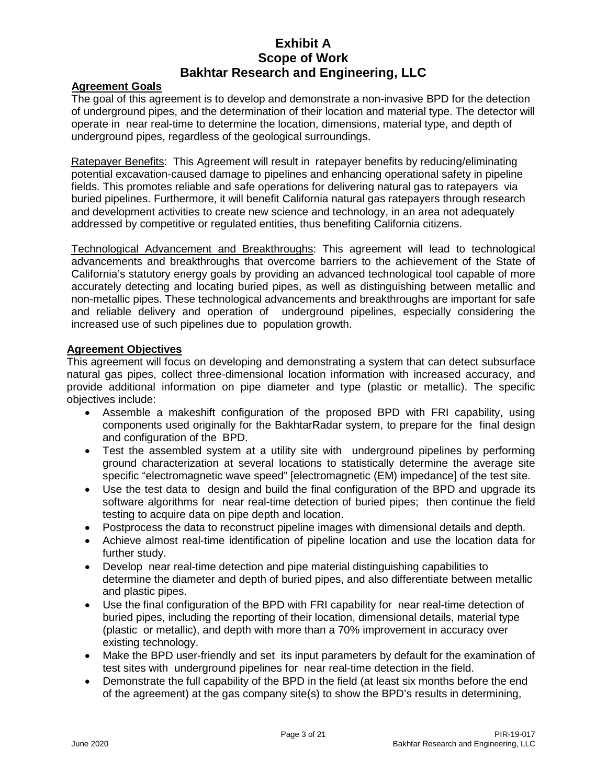#### **Agreement Goals**

The goal of this agreement is to develop and demonstrate a non-invasive BPD for the detection of underground pipes, and the determination of their location and material type. The detector will operate in near real-time to determine the location, dimensions, material type, and depth of underground pipes, regardless of the geological surroundings.

Ratepayer Benefits:This Agreement will result in ratepayer benefits by reducing/eliminating potential excavation-caused damage to pipelines and enhancing operational safety in pipeline fields. This promotes reliable and safe operations for delivering natural gas to ratepayers via buried pipelines. Furthermore, it will benefit California natural gas ratepayers through research and development activities to create new science and technology, in an area not adequately addressed by competitive or regulated entities, thus benefiting California citizens.

Technological Advancement and Breakthroughs: This agreement will lead to technological advancements and breakthroughs that overcome barriers to the achievement of the State of California's statutory energy goals by providing an advanced technological tool capable of more accurately detecting and locating buried pipes, as well as distinguishing between metallic and non-metallic pipes. These technological advancements and breakthroughs are important for safe and reliable delivery and operation of underground pipelines, especially considering the increased use of such pipelines due to population growth.

#### **Agreement Objectives**

This agreement will focus on developing and demonstrating a system that can detect subsurface natural gas pipes, collect three-dimensional location information with increased accuracy, and provide additional information on pipe diameter and type (plastic or metallic). The specific objectives include:

- Assemble a makeshift configuration of the proposed BPD with FRI capability, using components used originally for the BakhtarRadar system, to prepare for the final design and configuration of the BPD.
- Test the assembled system at a utility site with underground pipelines by performing ground characterization at several locations to statistically determine the average site specific "electromagnetic wave speed" [electromagnetic (EM) impedance] of the test site.
- Use the test data to design and build the final configuration of the BPD and upgrade its software algorithms for near real-time detection of buried pipes; then continue the field testing to acquire data on pipe depth and location.
- Postprocess the data to reconstruct pipeline images with dimensional details and depth.
- Achieve almost real-time identification of pipeline location and use the location data for further study.
- Develop near real-time detection and pipe material distinguishing capabilities to determine the diameter and depth of buried pipes, and also differentiate between metallic and plastic pipes.
- Use the final configuration of the BPD with FRI capability for near real-time detection of buried pipes, including the reporting of their location, dimensional details, material type (plastic or metallic), and depth with more than a 70% improvement in accuracy over existing technology.
- Make the BPD user-friendly and set its input parameters by default for the examination of test sites with underground pipelines for near real-time detection in the field.
- Demonstrate the full capability of the BPD in the field (at least six months before the end of the agreement) at the gas company site(s) to show the BPD's results in determining,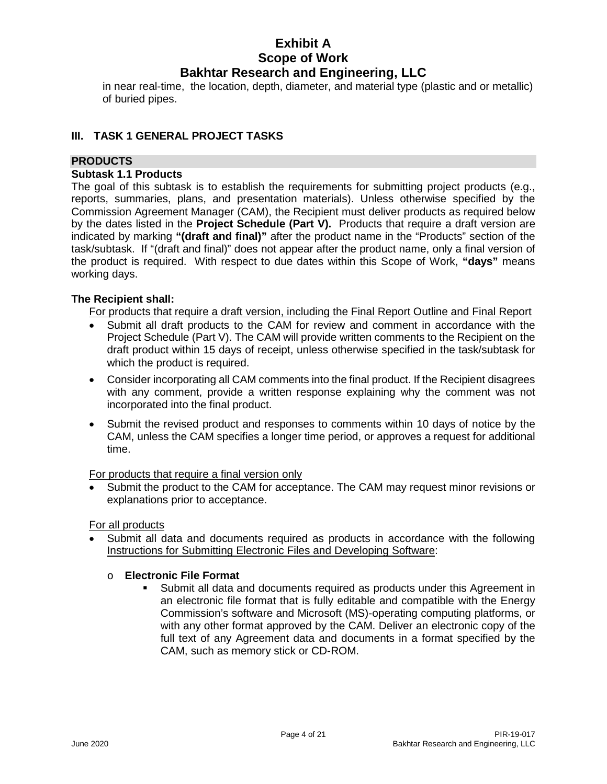in near real-time, the location, depth, diameter, and material type (plastic and or metallic) of buried pipes.

#### **III. TASK 1 GENERAL PROJECT TASKS**

#### **PRODUCTS**

#### **Subtask 1.1 Products**

The goal of this subtask is to establish the requirements for submitting project products (e.g., reports, summaries, plans, and presentation materials). Unless otherwise specified by the Commission Agreement Manager (CAM), the Recipient must deliver products as required below by the dates listed in the **Project Schedule (Part V).** Products that require a draft version are indicated by marking **"(draft and final)"** after the product name in the "Products" section of the task/subtask. If "(draft and final)" does not appear after the product name, only a final version of the product is required. With respect to due dates within this Scope of Work, **"days"** means working days.

#### **The Recipient shall:**

For products that require a draft version, including the Final Report Outline and Final Report

- Submit all draft products to the CAM for review and comment in accordance with the Project Schedule (Part V). The CAM will provide written comments to the Recipient on the draft product within 15 days of receipt, unless otherwise specified in the task/subtask for which the product is required.
- Consider incorporating all CAM comments into the final product. If the Recipient disagrees with any comment, provide a written response explaining why the comment was not incorporated into the final product.
- Submit the revised product and responses to comments within 10 days of notice by the CAM, unless the CAM specifies a longer time period, or approves a request for additional time.

#### For products that require a final version only

Submit the product to the CAM for acceptance. The CAM may request minor revisions or explanations prior to acceptance.

#### For all products

Submit all data and documents required as products in accordance with the following Instructions for Submitting Electronic Files and Developing Software:

#### o **Electronic File Format**

 Submit all data and documents required as products under this Agreement in an electronic file format that is fully editable and compatible with the Energy Commission's software and Microsoft (MS)-operating computing platforms, or with any other format approved by the CAM. Deliver an electronic copy of the full text of any Agreement data and documents in a format specified by the CAM, such as memory stick or CD-ROM.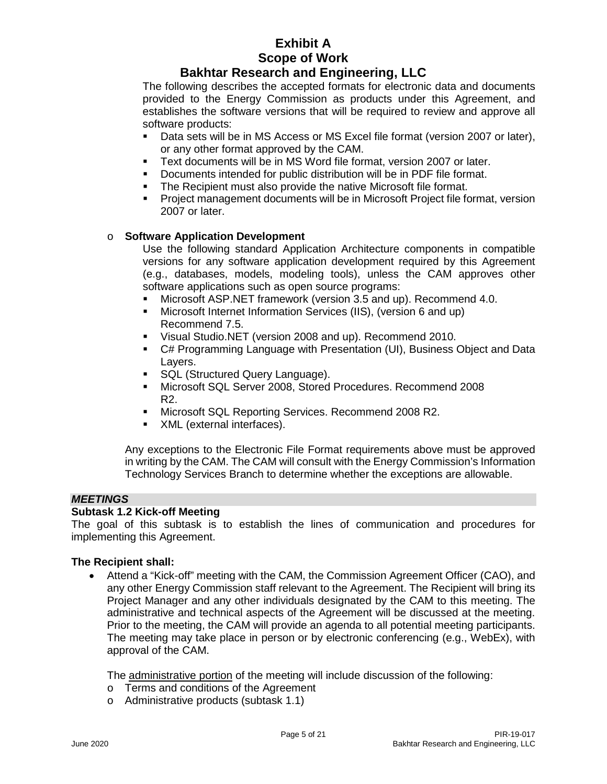#### **Bakhtar Research and Engineering, LLC**

The following describes the accepted formats for electronic data and documents provided to the Energy Commission as products under this Agreement, and establishes the software versions that will be required to review and approve all software products:

- Data sets will be in MS Access or MS Excel file format (version 2007 or later), or any other format approved by the CAM.
- Text documents will be in MS Word file format, version 2007 or later.
- Documents intended for public distribution will be in PDF file format.
- The Recipient must also provide the native Microsoft file format.
- Project management documents will be in Microsoft Project file format, version 2007 or later.

#### o **Software Application Development**

Use the following standard Application Architecture components in compatible versions for any software application development required by this Agreement (e.g., databases, models, modeling tools), unless the CAM approves other software applications such as open source programs:

- Microsoft ASP.NET framework (version 3.5 and up). Recommend 4.0.
- Microsoft Internet Information Services (IIS), (version 6 and up) Recommend 7.5.
- Visual Studio.NET (version 2008 and up). Recommend 2010.
- C# Programming Language with Presentation (UI), Business Object and Data Layers.
- SQL (Structured Query Language).
- Microsoft SQL Server 2008, Stored Procedures. Recommend 2008 R2.
- **Microsoft SQL Reporting Services. Recommend 2008 R2.**
- XML (external interfaces).

Any exceptions to the Electronic File Format requirements above must be approved in writing by the CAM. The CAM will consult with the Energy Commission's Information Technology Services Branch to determine whether the exceptions are allowable.

#### *MEETINGS*

#### **Subtask 1.2 Kick-off Meeting**

The goal of this subtask is to establish the lines of communication and procedures for implementing this Agreement.

#### **The Recipient shall:**

• Attend a "Kick-off" meeting with the CAM, the Commission Agreement Officer (CAO), and any other Energy Commission staff relevant to the Agreement. The Recipient will bring its Project Manager and any other individuals designated by the CAM to this meeting. The administrative and technical aspects of the Agreement will be discussed at the meeting. Prior to the meeting, the CAM will provide an agenda to all potential meeting participants. The meeting may take place in person or by electronic conferencing (e.g., WebEx), with approval of the CAM.

The administrative portion of the meeting will include discussion of the following:

- o Terms and conditions of the Agreement
- o Administrative products (subtask 1.1)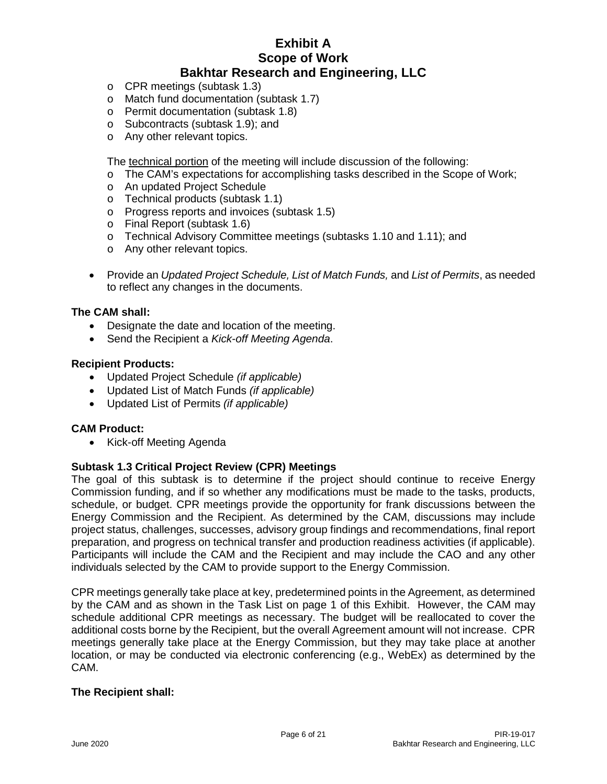- o CPR meetings (subtask 1.3)
- o Match fund documentation (subtask 1.7)
- o Permit documentation (subtask 1.8)
- o Subcontracts (subtask 1.9); and
- o Any other relevant topics.

The technical portion of the meeting will include discussion of the following:

- o The CAM's expectations for accomplishing tasks described in the Scope of Work;
- o An updated Project Schedule
- o Technical products (subtask 1.1)
- o Progress reports and invoices (subtask 1.5)
- o Final Report (subtask 1.6)
- o Technical Advisory Committee meetings (subtasks 1.10 and 1.11); and
- o Any other relevant topics.
- Provide an *Updated Project Schedule, List of Match Funds,* and *List of Permits*, as needed to reflect any changes in the documents.

#### **The CAM shall:**

- Designate the date and location of the meeting.
- Send the Recipient a *Kick-off Meeting Agenda*.

#### **Recipient Products:**

- Updated Project Schedule *(if applicable)*
- Updated List of Match Funds *(if applicable)*
- Updated List of Permits *(if applicable)*

#### **CAM Product:**

• Kick-off Meeting Agenda

#### **Subtask 1.3 Critical Project Review (CPR) Meetings**

The goal of this subtask is to determine if the project should continue to receive Energy Commission funding, and if so whether any modifications must be made to the tasks, products, schedule, or budget. CPR meetings provide the opportunity for frank discussions between the Energy Commission and the Recipient. As determined by the CAM, discussions may include project status, challenges, successes, advisory group findings and recommendations, final report preparation, and progress on technical transfer and production readiness activities (if applicable). Participants will include the CAM and the Recipient and may include the CAO and any other individuals selected by the CAM to provide support to the Energy Commission.

CPR meetings generally take place at key, predetermined points in the Agreement, as determined by the CAM and as shown in the Task List on page 1 of this Exhibit. However, the CAM may schedule additional CPR meetings as necessary. The budget will be reallocated to cover the additional costs borne by the Recipient, but the overall Agreement amount will not increase. CPR meetings generally take place at the Energy Commission, but they may take place at another location, or may be conducted via electronic conferencing (e.g., WebEx) as determined by the CAM.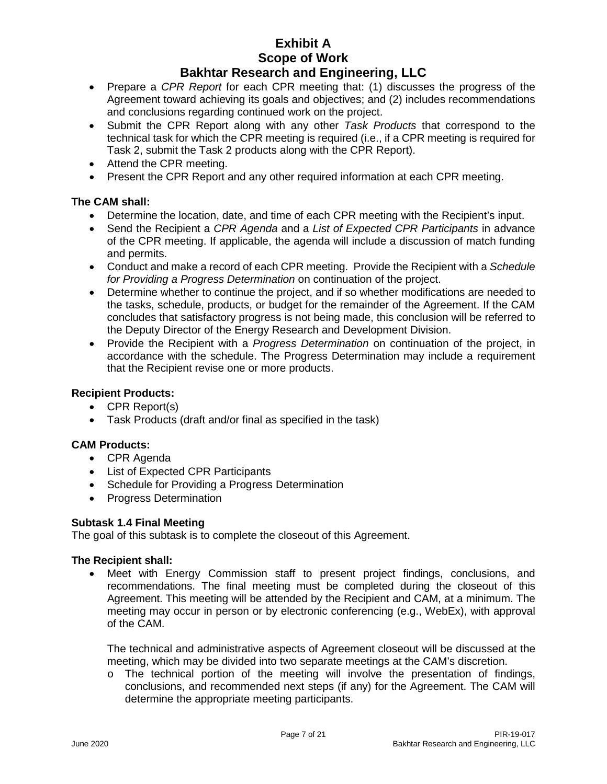#### **Bakhtar Research and Engineering, LLC**

- Prepare a *CPR Report* for each CPR meeting that: (1) discusses the progress of the Agreement toward achieving its goals and objectives; and (2) includes recommendations and conclusions regarding continued work on the project.
- Submit the CPR Report along with any other *Task Products* that correspond to the technical task for which the CPR meeting is required (i.e., if a CPR meeting is required for Task 2, submit the Task 2 products along with the CPR Report).
- Attend the CPR meeting.
- Present the CPR Report and any other required information at each CPR meeting.

#### **The CAM shall:**

- Determine the location, date, and time of each CPR meeting with the Recipient's input.
- Send the Recipient a *CPR Agenda* and a *List of Expected CPR Participants* in advance of the CPR meeting. If applicable, the agenda will include a discussion of match funding and permits.
- Conduct and make a record of each CPR meeting. Provide the Recipient with a *Schedule for Providing a Progress Determination* on continuation of the project.
- Determine whether to continue the project, and if so whether modifications are needed to the tasks, schedule, products, or budget for the remainder of the Agreement. If the CAM concludes that satisfactory progress is not being made, this conclusion will be referred to the Deputy Director of the Energy Research and Development Division.
- Provide the Recipient with a *Progress Determination* on continuation of the project, in accordance with the schedule. The Progress Determination may include a requirement that the Recipient revise one or more products.

#### **Recipient Products:**

- CPR Report(s)
- Task Products (draft and/or final as specified in the task)

#### **CAM Products:**

- CPR Agenda
- List of Expected CPR Participants
- Schedule for Providing a Progress Determination
- Progress Determination

#### **Subtask 1.4 Final Meeting**

The goal of this subtask is to complete the closeout of this Agreement.

#### **The Recipient shall:**

Meet with Energy Commission staff to present project findings, conclusions, and recommendations. The final meeting must be completed during the closeout of this Agreement. This meeting will be attended by the Recipient and CAM, at a minimum. The meeting may occur in person or by electronic conferencing (e.g., WebEx), with approval of the CAM.

The technical and administrative aspects of Agreement closeout will be discussed at the meeting, which may be divided into two separate meetings at the CAM's discretion.

 $\circ$  The technical portion of the meeting will involve the presentation of findings, conclusions, and recommended next steps (if any) for the Agreement. The CAM will determine the appropriate meeting participants.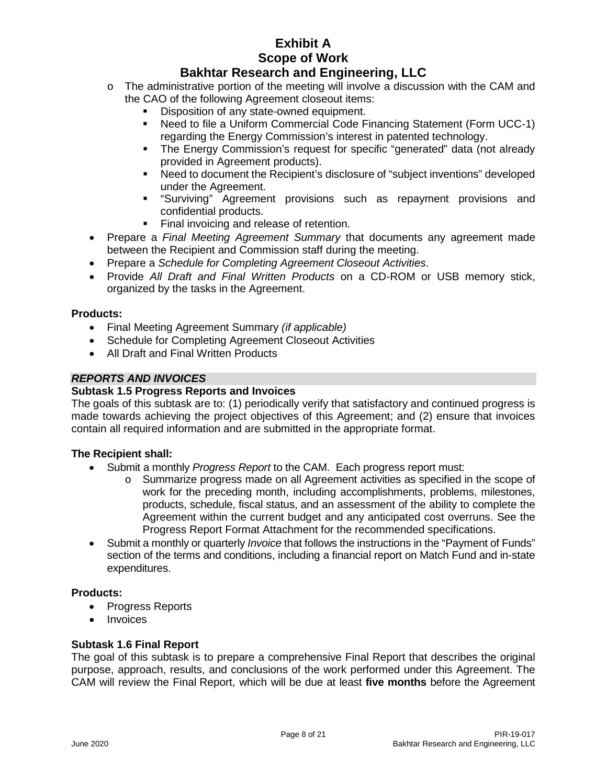### **Bakhtar Research and Engineering, LLC**

- $\circ$  The administrative portion of the meeting will involve a discussion with the CAM and the CAO of the following Agreement closeout items:
	- Disposition of any state-owned equipment.
	- Need to file a Uniform Commercial Code Financing Statement (Form UCC-1) regarding the Energy Commission's interest in patented technology.
	- The Energy Commission's request for specific "generated" data (not already provided in Agreement products).
	- Need to document the Recipient's disclosure of "subject inventions" developed under the Agreement.
	- **EXT** "Surviving" Agreement provisions such as repayment provisions and confidential products.
	- Final invoicing and release of retention.
- Prepare a *Final Meeting Agreement Summary* that documents any agreement made between the Recipient and Commission staff during the meeting.
- Prepare a *Schedule for Completing Agreement Closeout Activities*.
- Provide *All Draft and Final Written Products* on a CD-ROM or USB memory stick, organized by the tasks in the Agreement.

#### **Products:**

- Final Meeting Agreement Summary *(if applicable)*
- Schedule for Completing Agreement Closeout Activities
- All Draft and Final Written Products

#### *REPORTS AND INVOICES*

#### **Subtask 1.5 Progress Reports and Invoices**

The goals of this subtask are to: (1) periodically verify that satisfactory and continued progress is made towards achieving the project objectives of this Agreement; and (2) ensure that invoices contain all required information and are submitted in the appropriate format.

#### **The Recipient shall:**

- Submit a monthly *Progress Report* to the CAM. Each progress report must:
	- o Summarize progress made on all Agreement activities as specified in the scope of work for the preceding month, including accomplishments, problems, milestones, products, schedule, fiscal status, and an assessment of the ability to complete the Agreement within the current budget and any anticipated cost overruns. See the Progress Report Format Attachment for the recommended specifications.
- Submit a monthly or quarterly *Invoice* that follows the instructions in the "Payment of Funds" section of the terms and conditions, including a financial report on Match Fund and in-state expenditures.

#### **Products:**

- Progress Reports
- **Invoices**

#### **Subtask 1.6 Final Report**

The goal of this subtask is to prepare a comprehensive Final Report that describes the original purpose, approach, results, and conclusions of the work performed under this Agreement. The CAM will review the Final Report, which will be due at least **five months** before the Agreement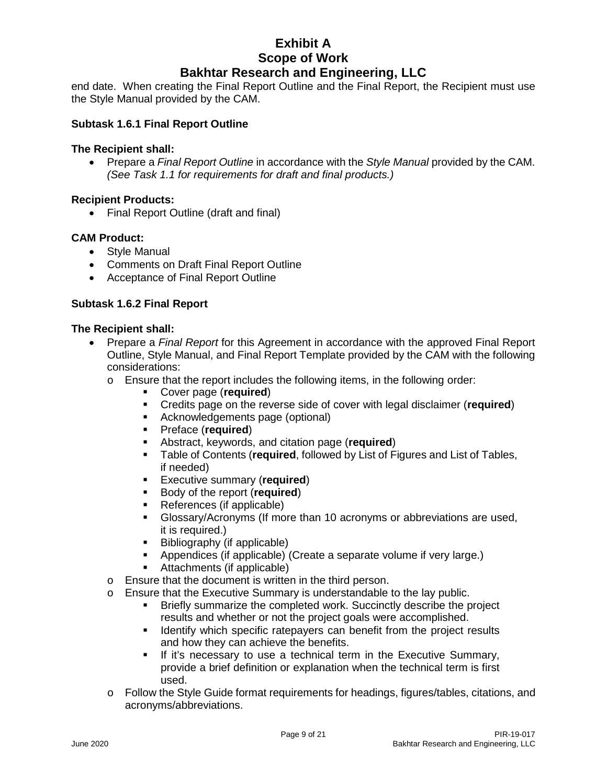# **Bakhtar Research and Engineering, LLC**

end date. When creating the Final Report Outline and the Final Report, the Recipient must use the Style Manual provided by the CAM.

#### **Subtask 1.6.1 Final Report Outline**

#### **The Recipient shall:**

• Prepare a *Final Report Outline* in accordance with the *Style Manual* provided by the CAM. *(See Task 1.1 for requirements for draft and final products.)*

#### **Recipient Products:**

• Final Report Outline (draft and final)

#### **CAM Product:**

- Style Manual
- Comments on Draft Final Report Outline
- Acceptance of Final Report Outline

#### **Subtask 1.6.2 Final Report**

- Prepare a *Final Report* for this Agreement in accordance with the approved Final Report Outline, Style Manual, and Final Report Template provided by the CAM with the following considerations:
	- o Ensure that the report includes the following items, in the following order:
		- Cover page (**required**)
		- Credits page on the reverse side of cover with legal disclaimer (**required**)
		- Acknowledgements page (optional)
		- Preface (**required**)
		- Abstract, keywords, and citation page (**required**)<br> **Example of Contents (required, followed by List of Filter**
		- Table of Contents (**required**, followed by List of Figures and List of Tables, if needed)
		- **Executive summary (required)**<br>**Body of the report (required)**
		- Body of the report (**required**)
		- References (if applicable)
		- Glossary/Acronyms (If more than 10 acronyms or abbreviations are used, it is required.)
		- Bibliography (if applicable)
		- Appendices (if applicable) (Create a separate volume if very large.)
		- Attachments (if applicable)
	- o Ensure that the document is written in the third person.
	- o Ensure that the Executive Summary is understandable to the lay public.
		- Briefly summarize the completed work. Succinctly describe the project results and whether or not the project goals were accomplished.
		- **If Identify which specific ratepayers can benefit from the project results** and how they can achieve the benefits.
		- If it's necessary to use a technical term in the Executive Summary, provide a brief definition or explanation when the technical term is first used.
	- o Follow the Style Guide format requirements for headings, figures/tables, citations, and acronyms/abbreviations.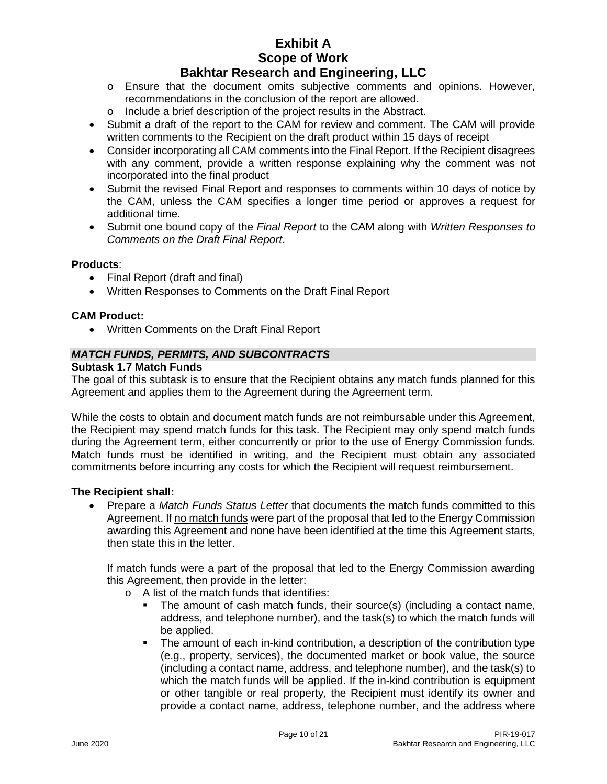#### **Bakhtar Research and Engineering, LLC**

- o Ensure that the document omits subjective comments and opinions. However, recommendations in the conclusion of the report are allowed.
- o Include a brief description of the project results in the Abstract.
- Submit a draft of the report to the CAM for review and comment. The CAM will provide written comments to the Recipient on the draft product within 15 days of receipt
- Consider incorporating all CAM comments into the Final Report. If the Recipient disagrees with any comment, provide a written response explaining why the comment was not incorporated into the final product
- Submit the revised Final Report and responses to comments within 10 days of notice by the CAM, unless the CAM specifies a longer time period or approves a request for additional time.
- Submit one bound copy of the *Final Report* to the CAM along with *Written Responses to Comments on the Draft Final Report*.

#### **Products**:

- Final Report (draft and final)
- Written Responses to Comments on the Draft Final Report

#### **CAM Product:**

• Written Comments on the Draft Final Report

#### *MATCH FUNDS, PERMITS, AND SUBCONTRACTS*

#### **Subtask 1.7 Match Funds**

The goal of this subtask is to ensure that the Recipient obtains any match funds planned for this Agreement and applies them to the Agreement during the Agreement term.

While the costs to obtain and document match funds are not reimbursable under this Agreement, the Recipient may spend match funds for this task. The Recipient may only spend match funds during the Agreement term, either concurrently or prior to the use of Energy Commission funds. Match funds must be identified in writing, and the Recipient must obtain any associated commitments before incurring any costs for which the Recipient will request reimbursement.

#### **The Recipient shall:**

• Prepare a *Match Funds Status Letter* that documents the match funds committed to this Agreement. If no match funds were part of the proposal that led to the Energy Commission awarding this Agreement and none have been identified at the time this Agreement starts, then state this in the letter.

If match funds were a part of the proposal that led to the Energy Commission awarding this Agreement, then provide in the letter:

- o A list of the match funds that identifies:
	- The amount of cash match funds, their source(s) (including a contact name, address, and telephone number), and the task(s) to which the match funds will be applied.
	- The amount of each in-kind contribution, a description of the contribution type (e.g., property, services), the documented market or book value, the source (including a contact name, address, and telephone number), and the task(s) to which the match funds will be applied. If the in-kind contribution is equipment or other tangible or real property, the Recipient must identify its owner and provide a contact name, address, telephone number, and the address where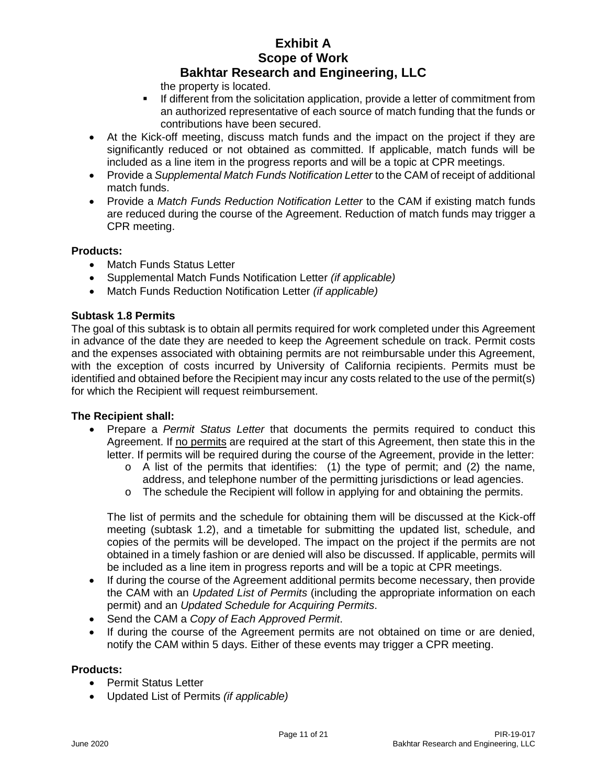the property is located.

- If different from the solicitation application, provide a letter of commitment from an authorized representative of each source of match funding that the funds or contributions have been secured.
- At the Kick-off meeting, discuss match funds and the impact on the project if they are significantly reduced or not obtained as committed. If applicable, match funds will be included as a line item in the progress reports and will be a topic at CPR meetings.
- Provide a *Supplemental Match Funds Notification Letter* to the CAM of receipt of additional match funds.
- Provide a *Match Funds Reduction Notification Letter* to the CAM if existing match funds are reduced during the course of the Agreement. Reduction of match funds may trigger a CPR meeting.

#### **Products:**

- Match Funds Status Letter
- Supplemental Match Funds Notification Letter *(if applicable)*
- Match Funds Reduction Notification Letter *(if applicable)*

#### **Subtask 1.8 Permits**

The goal of this subtask is to obtain all permits required for work completed under this Agreement in advance of the date they are needed to keep the Agreement schedule on track. Permit costs and the expenses associated with obtaining permits are not reimbursable under this Agreement, with the exception of costs incurred by University of California recipients. Permits must be identified and obtained before the Recipient may incur any costs related to the use of the permit(s) for which the Recipient will request reimbursement.

#### **The Recipient shall:**

- Prepare a *Permit Status Letter* that documents the permits required to conduct this Agreement. If no permits are required at the start of this Agreement, then state this in the letter. If permits will be required during the course of the Agreement, provide in the letter:
	- $\circ$  A list of the permits that identifies: (1) the type of permit; and (2) the name, address, and telephone number of the permitting jurisdictions or lead agencies.
	- $\circ$  The schedule the Recipient will follow in applying for and obtaining the permits.

The list of permits and the schedule for obtaining them will be discussed at the Kick-off meeting (subtask 1.2), and a timetable for submitting the updated list, schedule, and copies of the permits will be developed. The impact on the project if the permits are not obtained in a timely fashion or are denied will also be discussed. If applicable, permits will be included as a line item in progress reports and will be a topic at CPR meetings.

- If during the course of the Agreement additional permits become necessary, then provide the CAM with an *Updated List of Permits* (including the appropriate information on each permit) and an *Updated Schedule for Acquiring Permits*.
- Send the CAM a *Copy of Each Approved Permit*.
- If during the course of the Agreement permits are not obtained on time or are denied, notify the CAM within 5 days. Either of these events may trigger a CPR meeting.

#### **Products:**

- Permit Status Letter
- Updated List of Permits *(if applicable)*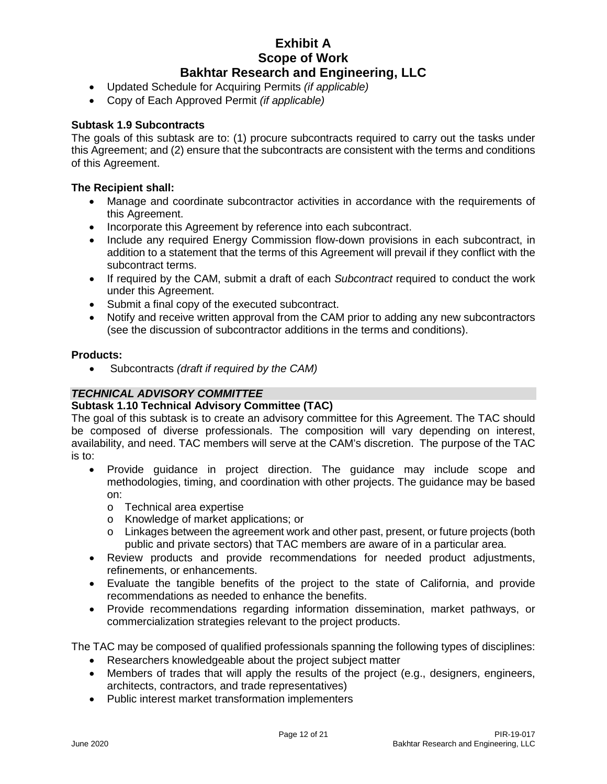- Updated Schedule for Acquiring Permits *(if applicable)*
- Copy of Each Approved Permit *(if applicable)*

#### **Subtask 1.9 Subcontracts**

The goals of this subtask are to: (1) procure subcontracts required to carry out the tasks under this Agreement; and (2) ensure that the subcontracts are consistent with the terms and conditions of this Agreement.

#### **The Recipient shall:**

- Manage and coordinate subcontractor activities in accordance with the requirements of this Agreement.
- Incorporate this Agreement by reference into each subcontract.
- Include any required Energy Commission flow-down provisions in each subcontract, in addition to a statement that the terms of this Agreement will prevail if they conflict with the subcontract terms.
- If required by the CAM, submit a draft of each *Subcontract* required to conduct the work under this Agreement.
- Submit a final copy of the executed subcontract.
- Notify and receive written approval from the CAM prior to adding any new subcontractors (see the discussion of subcontractor additions in the terms and conditions).

#### **Products:**

• Subcontracts *(draft if required by the CAM)*

#### *TECHNICAL ADVISORY COMMITTEE*

#### **Subtask 1.10 Technical Advisory Committee (TAC)**

The goal of this subtask is to create an advisory committee for this Agreement. The TAC should be composed of diverse professionals. The composition will vary depending on interest, availability, and need. TAC members will serve at the CAM's discretion. The purpose of the TAC is to:

- Provide guidance in project direction. The guidance may include scope and methodologies, timing, and coordination with other projects. The guidance may be based on:
	- o Technical area expertise
	- o Knowledge of market applications; or
	- $\circ$  Linkages between the agreement work and other past, present, or future projects (both public and private sectors) that TAC members are aware of in a particular area.
- Review products and provide recommendations for needed product adjustments, refinements, or enhancements.
- Evaluate the tangible benefits of the project to the state of California, and provide recommendations as needed to enhance the benefits.
- Provide recommendations regarding information dissemination, market pathways, or commercialization strategies relevant to the project products.

The TAC may be composed of qualified professionals spanning the following types of disciplines:

- Researchers knowledgeable about the project subject matter
- Members of trades that will apply the results of the project (e.g., designers, engineers, architects, contractors, and trade representatives)
- Public interest market transformation implementers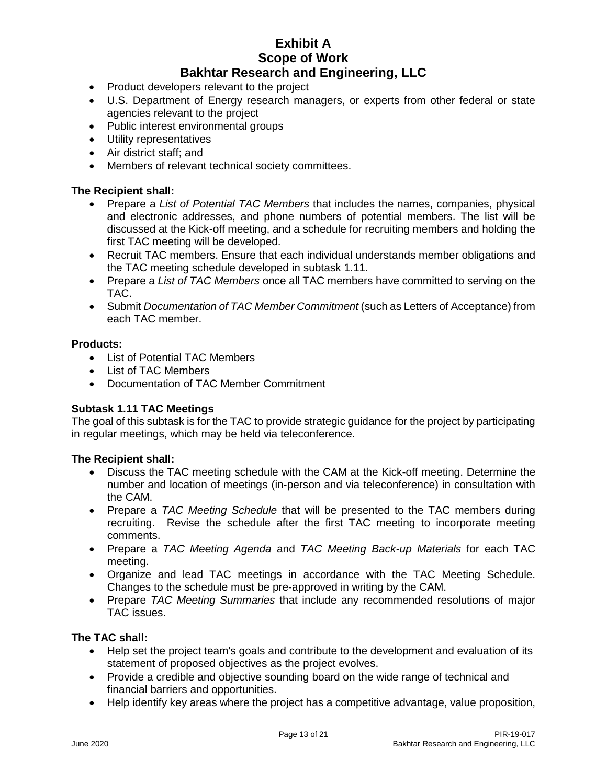- Product developers relevant to the project
- U.S. Department of Energy research managers, or experts from other federal or state agencies relevant to the project
- Public interest environmental groups
- Utility representatives
- Air district staff; and
- Members of relevant technical society committees.

#### **The Recipient shall:**

- Prepare a *List of Potential TAC Members* that includes the names, companies, physical and electronic addresses, and phone numbers of potential members. The list will be discussed at the Kick-off meeting, and a schedule for recruiting members and holding the first TAC meeting will be developed.
- Recruit TAC members. Ensure that each individual understands member obligations and the TAC meeting schedule developed in subtask 1.11.
- Prepare a *List of TAC Members* once all TAC members have committed to serving on the TAC.
- Submit *Documentation of TAC Member Commitment* (such as Letters of Acceptance) from each TAC member.

#### **Products:**

- List of Potential TAC Members
- List of TAC Members
- Documentation of TAC Member Commitment

#### **Subtask 1.11 TAC Meetings**

The goal of this subtask is for the TAC to provide strategic guidance for the project by participating in regular meetings, which may be held via teleconference.

#### **The Recipient shall:**

- Discuss the TAC meeting schedule with the CAM at the Kick-off meeting. Determine the number and location of meetings (in-person and via teleconference) in consultation with the CAM.
- Prepare a *TAC Meeting Schedule* that will be presented to the TAC members during recruiting. Revise the schedule after the first TAC meeting to incorporate meeting comments.
- Prepare a *TAC Meeting Agenda* and *TAC Meeting Back-up Materials* for each TAC meeting.
- Organize and lead TAC meetings in accordance with the TAC Meeting Schedule. Changes to the schedule must be pre-approved in writing by the CAM.
- Prepare *TAC Meeting Summaries* that include any recommended resolutions of major TAC issues.

#### **The TAC shall:**

- Help set the project team's goals and contribute to the development and evaluation of its statement of proposed objectives as the project evolves.
- Provide a credible and objective sounding board on the wide range of technical and financial barriers and opportunities.
- Help identify key areas where the project has a competitive advantage, value proposition,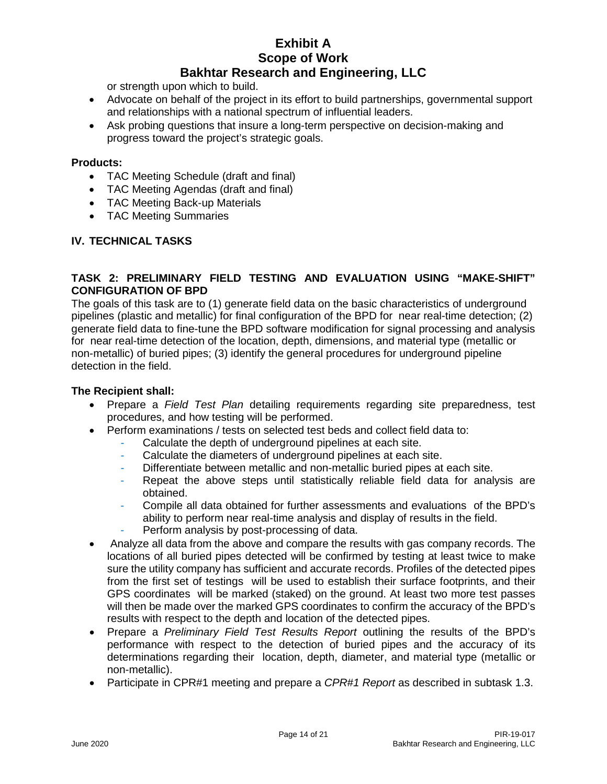or strength upon which to build.

- Advocate on behalf of the project in its effort to build partnerships, governmental support and relationships with a national spectrum of influential leaders.
- Ask probing questions that insure a long-term perspective on decision-making and progress toward the project's strategic goals.

#### **Products:**

- TAC Meeting Schedule (draft and final)
- TAC Meeting Agendas (draft and final)
- TAC Meeting Back-up Materials
- TAC Meeting Summaries

#### **IV. TECHNICAL TASKS**

#### **TASK 2: PRELIMINARY FIELD TESTING AND EVALUATION USING "MAKE-SHIFT" CONFIGURATION OF BPD**

The goals of this task are to (1) generate field data on the basic characteristics of underground pipelines (plastic and metallic) for final configuration of the BPD for near real-time detection; (2) generate field data to fine-tune the BPD software modification for signal processing and analysis for near real-time detection of the location, depth, dimensions, and material type (metallic or non-metallic) of buried pipes; (3) identify the general procedures for underground pipeline detection in the field.

- Prepare a *Field Test Plan* detailing requirements regarding site preparedness, test procedures, and how testing will be performed.
- Perform examinations / tests on selected test beds and collect field data to:
	- Calculate the depth of underground pipelines at each site.
	- Calculate the diameters of underground pipelines at each site.
	- Differentiate between metallic and non-metallic buried pipes at each site.
	- Repeat the above steps until statistically reliable field data for analysis are obtained.
	- Compile all data obtained for further assessments and evaluations of the BPD's ability to perform near real-time analysis and display of results in the field.
	- Perform analysis by post-processing of data.
- Analyze all data from the above and compare the results with gas company records. The locations of all buried pipes detected will be confirmed by testing at least twice to make sure the utility company has sufficient and accurate records. Profiles of the detected pipes from the first set of testings will be used to establish their surface footprints, and their GPS coordinates will be marked (staked) on the ground. At least two more test passes will then be made over the marked GPS coordinates to confirm the accuracy of the BPD's results with respect to the depth and location of the detected pipes.
- Prepare a *Preliminary Field Test Results Report* outlining the results of the BPD's performance with respect to the detection of buried pipes and the accuracy of its determinations regarding their location, depth, diameter, and material type (metallic or non-metallic).
- Participate in CPR#1 meeting and prepare a *CPR#1 Report* as described in subtask 1.3.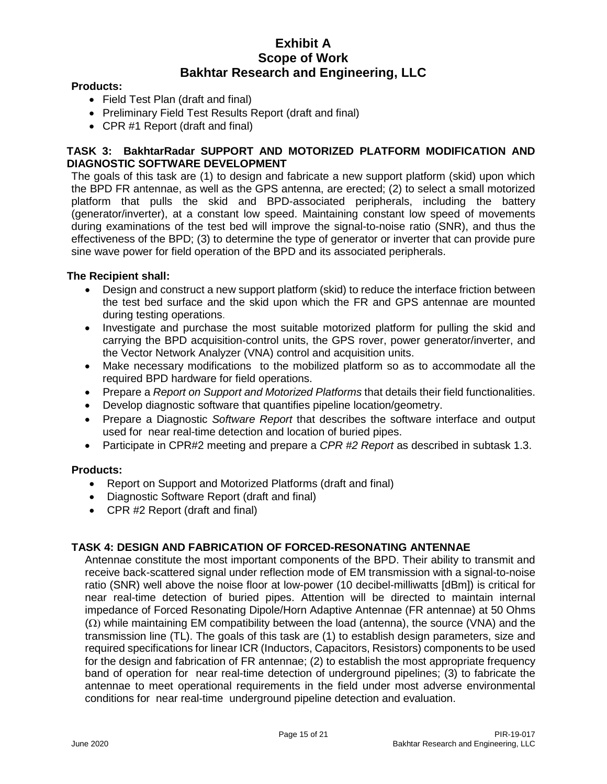#### **Products:**

- Field Test Plan (draft and final)
- Preliminary Field Test Results Report (draft and final)
- CPR #1 Report (draft and final)

#### **TASK 3: BakhtarRadar SUPPORT AND MOTORIZED PLATFORM MODIFICATION AND DIAGNOSTIC SOFTWARE DEVELOPMENT**

The goals of this task are (1) to design and fabricate a new support platform (skid) upon which the BPD FR antennae, as well as the GPS antenna, are erected; (2) to select a small motorized platform that pulls the skid and BPD-associated peripherals, including the battery (generator/inverter), at a constant low speed. Maintaining constant low speed of movements during examinations of the test bed will improve the signal-to-noise ratio (SNR), and thus the effectiveness of the BPD; (3) to determine the type of generator or inverter that can provide pure sine wave power for field operation of the BPD and its associated peripherals.

#### **The Recipient shall:**

- Design and construct a new support platform (skid) to reduce the interface friction between the test bed surface and the skid upon which the FR and GPS antennae are mounted during testing operations.
- Investigate and purchase the most suitable motorized platform for pulling the skid and carrying the BPD acquisition-control units, the GPS rover, power generator/inverter, and the Vector Network Analyzer (VNA) control and acquisition units.
- Make necessary modifications to the mobilized platform so as to accommodate all the required BPD hardware for field operations.
- Prepare a *Report on Support and Motorized Platforms* that details their field functionalities.
- Develop diagnostic software that quantifies pipeline location/geometry.
- Prepare a Diagnostic *Software Report* that describes the software interface and output used for near real-time detection and location of buried pipes.
- Participate in CPR#2 meeting and prepare a *CPR #2 Report* as described in subtask 1.3.

#### **Products:**

- Report on Support and Motorized Platforms (draft and final)
- Diagnostic Software Report (draft and final)
- CPR #2 Report (draft and final)

#### **TASK 4: DESIGN AND FABRICATION OF FORCED-RESONATING ANTENNAE**

Antennae constitute the most important components of the BPD. Their ability to transmit and receive back-scattered signal under reflection mode of EM transmission with a signal-to-noise ratio (SNR) well above the noise floor at low-power (10 decibel-milliwatts [dBm]) is critical for near real-time detection of buried pipes. Attention will be directed to maintain internal impedance of Forced Resonating Dipole/Horn Adaptive Antennae (FR antennae) at 50 Ohms  $(\Omega)$  while maintaining EM compatibility between the load (antenna), the source (VNA) and the transmission line (TL). The goals of this task are (1) to establish design parameters, size and required specifications for linear ICR (Inductors, Capacitors, Resistors) components to be used for the design and fabrication of FR antennae; (2) to establish the most appropriate frequency band of operation for near real-time detection of underground pipelines; (3) to fabricate the antennae to meet operational requirements in the field under most adverse environmental conditions for near real-time underground pipeline detection and evaluation.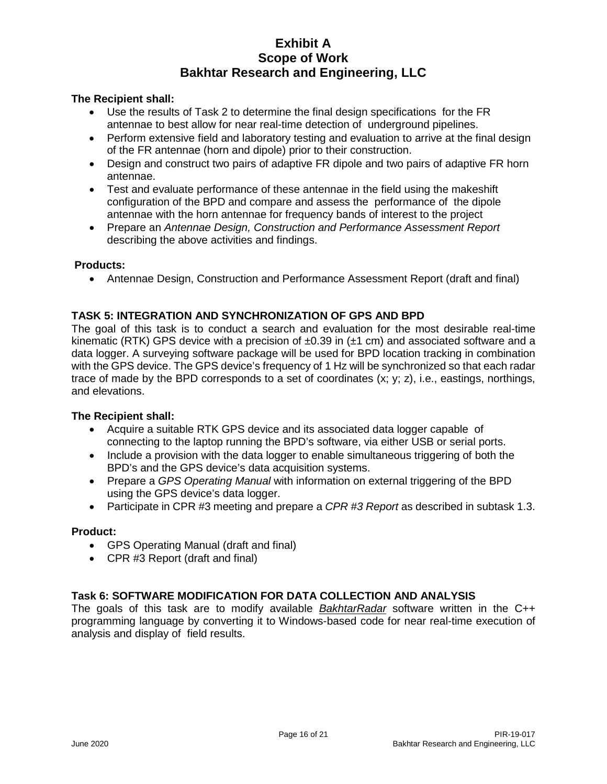#### **The Recipient shall:**

- Use the results of Task 2 to determine the final design specifications for the FR antennae to best allow for near real-time detection of underground pipelines.
- Perform extensive field and laboratory testing and evaluation to arrive at the final design of the FR antennae (horn and dipole) prior to their construction.
- Design and construct two pairs of adaptive FR dipole and two pairs of adaptive FR horn antennae.
- Test and evaluate performance of these antennae in the field using the makeshift configuration of the BPD and compare and assess the performance of the dipole antennae with the horn antennae for frequency bands of interest to the project
- Prepare an *Antennae Design, Construction and Performance Assessment Report* describing the above activities and findings.

#### **Products:**

• Antennae Design, Construction and Performance Assessment Report (draft and final)

#### **TASK 5: INTEGRATION AND SYNCHRONIZATION OF GPS AND BPD**

The goal of this task is to conduct a search and evaluation for the most desirable real-time kinematic (RTK) GPS device with a precision of  $\pm 0.39$  in ( $\pm 1$  cm) and associated software and a data logger. A surveying software package will be used for BPD location tracking in combination with the GPS device. The GPS device's frequency of 1 Hz will be synchronized so that each radar trace of made by the BPD corresponds to a set of coordinates (x; y; z), i.e., eastings, northings, and elevations.

#### **The Recipient shall:**

- Acquire a suitable RTK GPS device and its associated data logger capable of connecting to the laptop running the BPD's software, via either USB or serial ports.
- Include a provision with the data logger to enable simultaneous triggering of both the BPD's and the GPS device's data acquisition systems.
- Prepare a *GPS Operating Manual* with information on external triggering of the BPD using the GPS device's data logger.
- Participate in CPR #3 meeting and prepare a *CPR #3 Report* as described in subtask 1.3.

#### **Product:**

- GPS Operating Manual (draft and final)
- CPR #3 Report (draft and final)

#### **Task 6: SOFTWARE MODIFICATION FOR DATA COLLECTION AND ANALYSIS**

The goals of this task are to modify available *BakhtarRadar* software written in the C++ programming language by converting it to Windows-based code for near real-time execution of analysis and display of field results.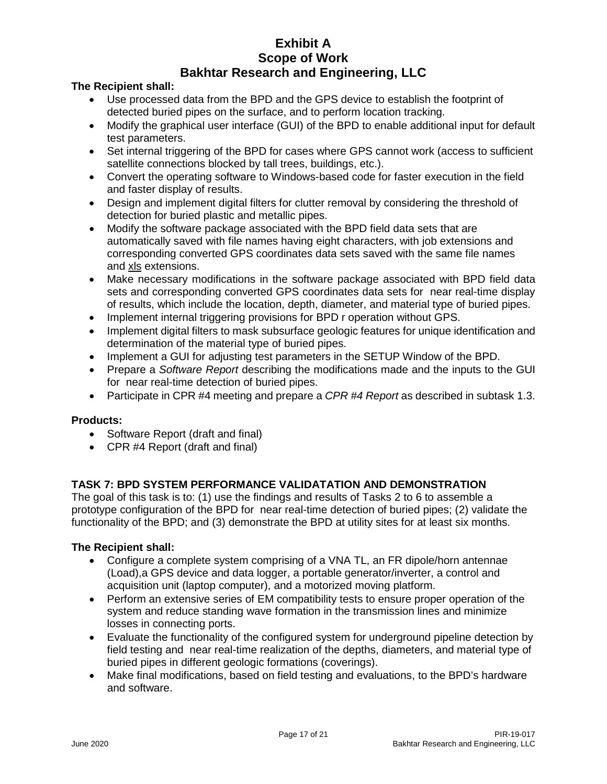#### **The Recipient shall:**

- Use processed data from the BPD and the GPS device to establish the footprint of detected buried pipes on the surface, and to perform location tracking.
- Modify the graphical user interface (GUI) of the BPD to enable additional input for default test parameters.
- Set internal triggering of the BPD for cases where GPS cannot work (access to sufficient satellite connections blocked by tall trees, buildings, etc.).
- Convert the operating software to Windows-based code for faster execution in the field and faster display of results.
- Design and implement digital filters for clutter removal by considering the threshold of detection for buried plastic and metallic pipes.
- Modify the software package associated with the BPD field data sets that are automatically saved with file names having eight characters, with job extensions and corresponding converted GPS coordinates data sets saved with the same file names and xls extensions.
- Make necessary modifications in the software package associated with BPD field data sets and corresponding converted GPS coordinates data sets for near real-time display of results, which include the location, depth, diameter, and material type of buried pipes.
- Implement internal triggering provisions for BPD r operation without GPS.
- Implement digital filters to mask subsurface geologic features for unique identification and determination of the material type of buried pipes.
- Implement a GUI for adjusting test parameters in the SETUP Window of the BPD.
- Prepare a *Software Report* describing the modifications made and the inputs to the GUI for near real-time detection of buried pipes.
- Participate in CPR #4 meeting and prepare a *CPR #4 Report* as described in subtask 1.3.

#### **Products:**

- Software Report (draft and final)
- CPR #4 Report (draft and final)

#### **TASK 7: BPD SYSTEM PERFORMANCE VALIDATATION AND DEMONSTRATION**

The goal of this task is to: (1) use the findings and results of Tasks 2 to 6 to assemble a prototype configuration of the BPD for near real-time detection of buried pipes; (2) validate the functionality of the BPD; and (3) demonstrate the BPD at utility sites for at least six months.

- Configure a complete system comprising of a VNA TL, an FR dipole/horn antennae (Load),a GPS device and data logger, a portable generator/inverter, a control and acquisition unit (laptop computer), and a motorized moving platform.
- Perform an extensive series of EM compatibility tests to ensure proper operation of the system and reduce standing wave formation in the transmission lines and minimize losses in connecting ports.
- Evaluate the functionality of the configured system for underground pipeline detection by field testing and near real-time realization of the depths, diameters, and material type of buried pipes in different geologic formations (coverings).
- Make final modifications, based on field testing and evaluations, to the BPD's hardware and software.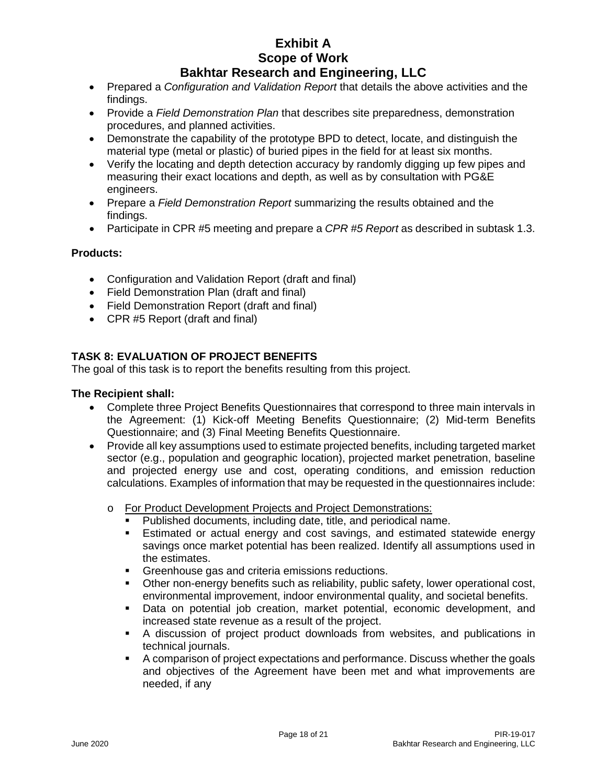- Prepared a *Configuration and Validation Report* that details the above activities and the findings.
- Provide a *Field Demonstration Plan* that describes site preparedness, demonstration procedures, and planned activities.
- Demonstrate the capability of the prototype BPD to detect, locate, and distinguish the material type (metal or plastic) of buried pipes in the field for at least six months.
- Verify the locating and depth detection accuracy by randomly digging up few pipes and measuring their exact locations and depth, as well as by consultation with PG&E engineers.
- Prepare a *Field Demonstration Report* summarizing the results obtained and the findings.
- Participate in CPR #5 meeting and prepare a *CPR #5 Report* as described in subtask 1.3.

#### **Products:**

- Configuration and Validation Report (draft and final)
- Field Demonstration Plan (draft and final)
- Field Demonstration Report (draft and final)
- CPR #5 Report (draft and final)

#### **TASK 8: EVALUATION OF PROJECT BENEFITS**

The goal of this task is to report the benefits resulting from this project.

- Complete three Project Benefits Questionnaires that correspond to three main intervals in the Agreement: (1) Kick-off Meeting Benefits Questionnaire; (2) Mid-term Benefits Questionnaire; and (3) Final Meeting Benefits Questionnaire.
- Provide all key assumptions used to estimate projected benefits, including targeted market sector (e.g., population and geographic location), projected market penetration, baseline and projected energy use and cost, operating conditions, and emission reduction calculations. Examples of information that may be requested in the questionnaires include:
	- o For Product Development Projects and Project Demonstrations:
		- Published documents, including date, title, and periodical name.<br>• Estimated or actual energy and cost savings, and estimated s
		- Estimated or actual energy and cost savings, and estimated statewide energy savings once market potential has been realized. Identify all assumptions used in the estimates.
		- **Greenhouse gas and criteria emissions reductions.**
		- Other non-energy benefits such as reliability, public safety, lower operational cost, environmental improvement, indoor environmental quality, and societal benefits.
		- Data on potential job creation, market potential, economic development, and increased state revenue as a result of the project.
		- A discussion of project product downloads from websites, and publications in technical journals.
		- A comparison of project expectations and performance. Discuss whether the goals and objectives of the Agreement have been met and what improvements are needed, if any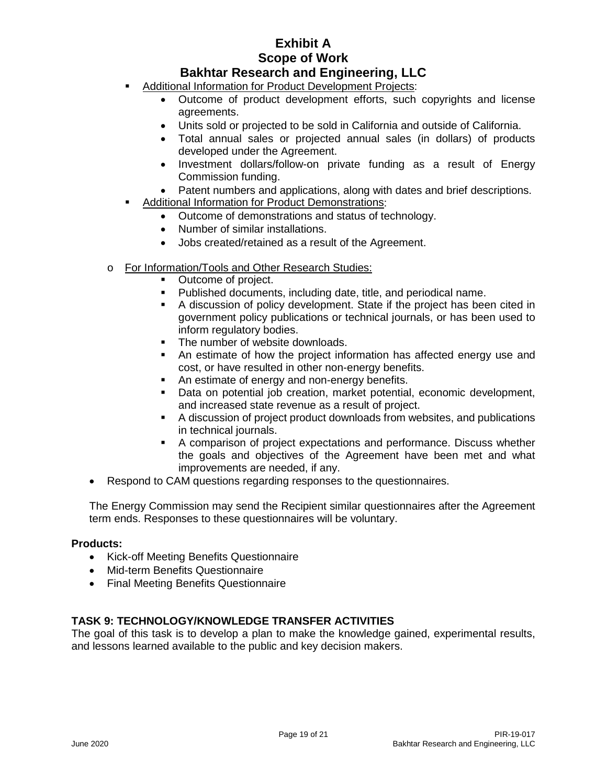# **Bakhtar Research and Engineering, LLC**

- Additional Information for Product Development Projects:
	- Outcome of product development efforts, such copyrights and license agreements.
	- Units sold or projected to be sold in California and outside of California.
	- Total annual sales or projected annual sales (in dollars) of products developed under the Agreement.
	- Investment dollars/follow-on private funding as a result of Energy Commission funding.
	- Patent numbers and applications, along with dates and brief descriptions.
- Additional Information for Product Demonstrations:
	- Outcome of demonstrations and status of technology.
	- Number of similar installations.
	- Jobs created/retained as a result of the Agreement.
- o For Information/Tools and Other Research Studies:
	- Outcome of project.
	- Published documents, including date, title, and periodical name.
	- A discussion of policy development. State if the project has been cited in government policy publications or technical journals, or has been used to inform regulatory bodies.
	- The number of website downloads.
	- An estimate of how the project information has affected energy use and cost, or have resulted in other non-energy benefits.
	- An estimate of energy and non-energy benefits.
	- Data on potential job creation, market potential, economic development, and increased state revenue as a result of project.
	- A discussion of project product downloads from websites, and publications in technical journals.
	- A comparison of project expectations and performance. Discuss whether the goals and objectives of the Agreement have been met and what improvements are needed, if any.
- Respond to CAM questions regarding responses to the questionnaires.

The Energy Commission may send the Recipient similar questionnaires after the Agreement term ends. Responses to these questionnaires will be voluntary.

#### **Products:**

- Kick-off Meeting Benefits Questionnaire
- Mid-term Benefits Questionnaire
- Final Meeting Benefits Questionnaire

#### **TASK 9: TECHNOLOGY/KNOWLEDGE TRANSFER ACTIVITIES**

The goal of this task is to develop a plan to make the knowledge gained, experimental results, and lessons learned available to the public and key decision makers.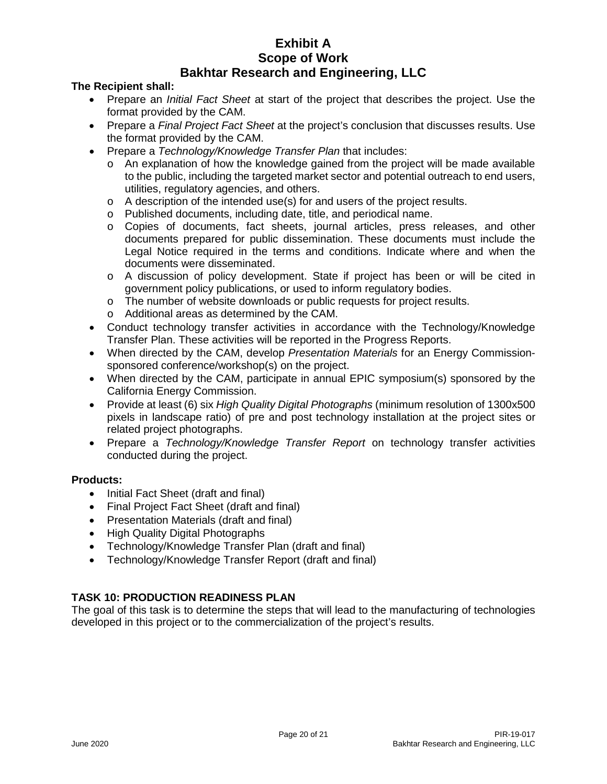#### **The Recipient shall:**

- Prepare an *Initial Fact Sheet* at start of the project that describes the project. Use the format provided by the CAM.
- Prepare a *Final Project Fact Sheet* at the project's conclusion that discusses results. Use the format provided by the CAM.
- Prepare a *Technology/Knowledge Transfer Plan* that includes:
	- o An explanation of how the knowledge gained from the project will be made available to the public, including the targeted market sector and potential outreach to end users, utilities, regulatory agencies, and others.
	- o A description of the intended use(s) for and users of the project results.
	- o Published documents, including date, title, and periodical name.
	- o Copies of documents, fact sheets, journal articles, press releases, and other documents prepared for public dissemination. These documents must include the Legal Notice required in the terms and conditions. Indicate where and when the documents were disseminated.
	- o A discussion of policy development. State if project has been or will be cited in government policy publications, or used to inform regulatory bodies.
	- o The number of website downloads or public requests for project results.
	- o Additional areas as determined by the CAM.
- Conduct technology transfer activities in accordance with the Technology/Knowledge Transfer Plan. These activities will be reported in the Progress Reports.
- When directed by the CAM, develop *Presentation Materials* for an Energy Commissionsponsored conference/workshop(s) on the project.
- When directed by the CAM, participate in annual EPIC symposium(s) sponsored by the California Energy Commission.
- Provide at least (6) six *High Quality Digital Photographs* (minimum resolution of 1300x500 pixels in landscape ratio) of pre and post technology installation at the project sites or related project photographs.
- Prepare a *Technology/Knowledge Transfer Report* on technology transfer activities conducted during the project.

#### **Products:**

- Initial Fact Sheet (draft and final)
- Final Project Fact Sheet (draft and final)
- Presentation Materials (draft and final)
- High Quality Digital Photographs
- Technology/Knowledge Transfer Plan (draft and final)
- Technology/Knowledge Transfer Report (draft and final)

#### **TASK 10: PRODUCTION READINESS PLAN**

The goal of this task is to determine the steps that will lead to the manufacturing of technologies developed in this project or to the commercialization of the project's results.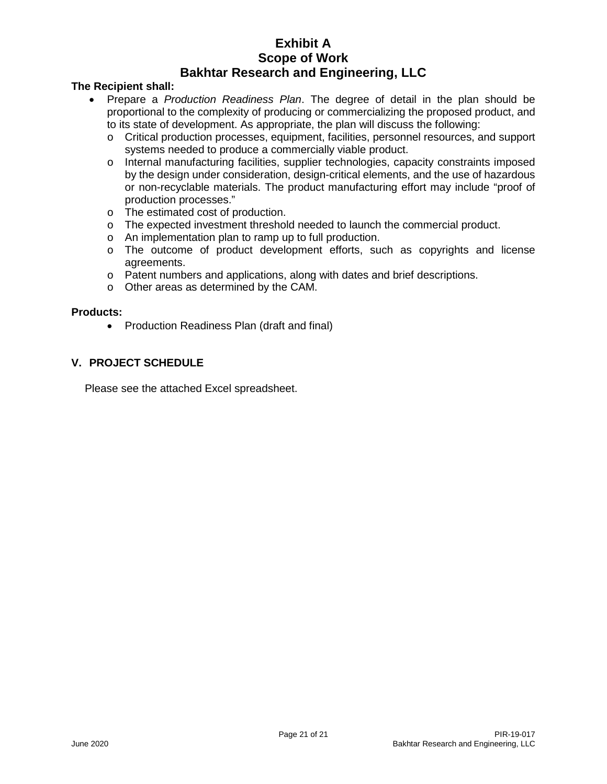#### **The Recipient shall:**

- Prepare a *Production Readiness Plan*. The degree of detail in the plan should be proportional to the complexity of producing or commercializing the proposed product, and to its state of development. As appropriate, the plan will discuss the following:
	- o Critical production processes, equipment, facilities, personnel resources, and support systems needed to produce a commercially viable product.
	- o Internal manufacturing facilities, supplier technologies, capacity constraints imposed by the design under consideration, design-critical elements, and the use of hazardous or non-recyclable materials. The product manufacturing effort may include "proof of production processes."
	- o The estimated cost of production.
	- o The expected investment threshold needed to launch the commercial product.
	- o An implementation plan to ramp up to full production.
	- $\circ$  The outcome of product development efforts, such as copyrights and license agreements.
	- o Patent numbers and applications, along with dates and brief descriptions.
	- o Other areas as determined by the CAM.

#### **Products:**

• Production Readiness Plan (draft and final)

#### **V. PROJECT SCHEDULE**

Please see the attached Excel spreadsheet.